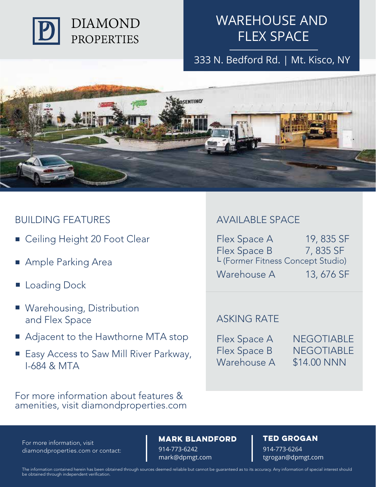

333 N. Bedford Rd. | Mt. Kisco, NY



### BUILDING FEATURES AVAILABLE SPACE

- Ceiling Height 20 Foot Clear
- Ample Parking Area
- **Loading Dock**
- **Warehousing, Distribution** and Flex Space
- Adjacent to the Hawthorne MTA stop
- Easy Access to Saw Mill River Parkway, I-684 & MTA

For more information about features & amenities, visit diamondproperties.com

Flex Space A Flex Space B Warehouse A 19, 835 SF 7, 835 SF 13, 676 SF LICA Spuce B<br>L (Former Fitness Concept Studio)

### ASKING RATE

Flex Space A Flex Space B Warehouse A **NEGOTIABLE** NEGOTIABLE \$14.00 NNN

diamondproperties.com or contact:

### For more information, visit **NARK BLANDFORD TED GROGAN**

914-773-6242 mark@dpmgt.com

914-773-6264 tgrogan@dpmgt.com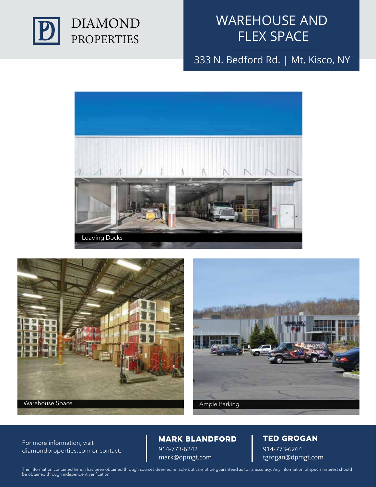

333 N. Bedford Rd. | Mt. Kisco, NY







diamondproperties.com or contact:

### 914-773-6242 For more information, visit **NARK BLANDFORD TED GROGAN**

mark@dpmgt.com

# 914-773-6264

tgrogan@dpmgt.com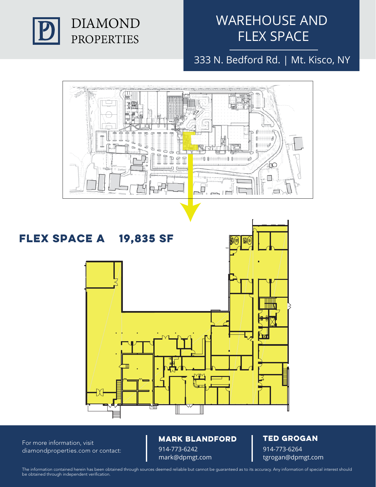

333 N. Bedford Rd. | Mt. Kisco, NY



diamondproperties.com or contact:

914-773-6242 For more information, visit **NARK BLANDFORD TED GROGAN** 

mark@dpmgt.com

914-773-6264 tgrogan@dpmgt.com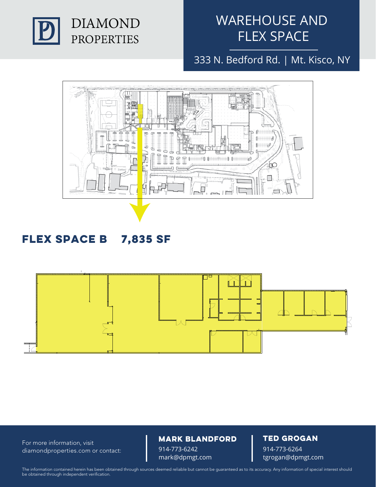

333 N. Bedford Rd. | Mt. Kisco, NY



## **Flex Space B 7,835 SF**



diamondproperties.com or contact:

### For more information, visit **NARK BLANDFORD TED GROGAN**

914-773-6242 mark@dpmgt.com

914-773-6264 tgrogan@dpmgt.com